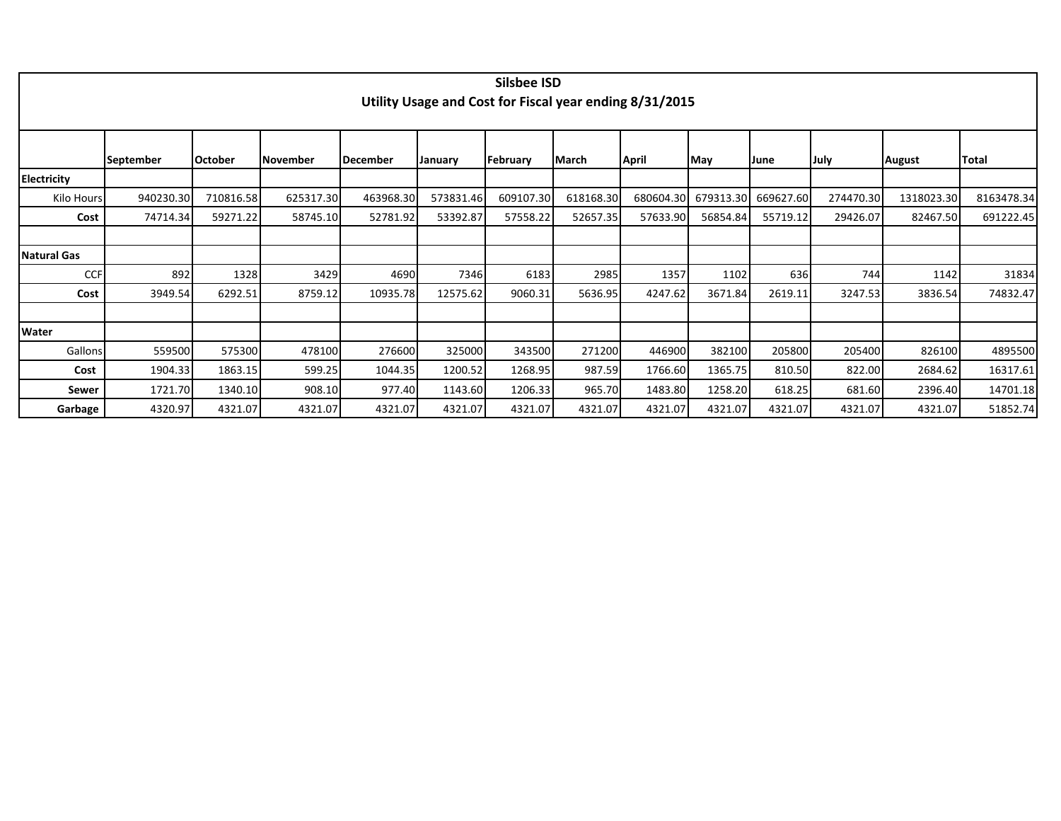|                    |                  |                |           |           |           | <b>Silsbee ISD</b> |           |                                                         |                     |           |           |               |            |
|--------------------|------------------|----------------|-----------|-----------|-----------|--------------------|-----------|---------------------------------------------------------|---------------------|-----------|-----------|---------------|------------|
|                    |                  |                |           |           |           |                    |           | Utility Usage and Cost for Fiscal year ending 8/31/2015 |                     |           |           |               |            |
|                    |                  |                |           |           |           |                    |           |                                                         |                     |           |           |               |            |
|                    |                  |                |           |           |           |                    |           |                                                         |                     |           |           |               |            |
|                    | <b>September</b> | <b>October</b> | November  | December  | January   | February           | March     | April                                                   | May                 | lJune     | July      | <b>August</b> | Total      |
| <b>Electricity</b> |                  |                |           |           |           |                    |           |                                                         |                     |           |           |               |            |
| Kilo Hours         | 940230.30        | 710816.58      | 625317.30 | 463968.30 | 573831.46 | 609107.30          | 618168.30 |                                                         | 680604.30 679313.30 | 669627.60 | 274470.30 | 1318023.30    | 8163478.34 |
| Cost               | 74714.34         | 59271.22       | 58745.10  | 52781.92  | 53392.87  | 57558.22           | 52657.35  | 57633.90                                                | 56854.84            | 55719.12  | 29426.07  | 82467.50      | 691222.45  |
|                    |                  |                |           |           |           |                    |           |                                                         |                     |           |           |               |            |
| <b>Natural Gas</b> |                  |                |           |           |           |                    |           |                                                         |                     |           |           |               |            |
| <b>CCF</b>         | 892              | 1328           | 3429      | 4690      | 7346      | 6183               | 2985      | 1357                                                    | 1102                | 636       | 744       | 1142          | 31834      |
| Cost               | 3949.54          | 6292.51        | 8759.12   | 10935.78  | 12575.62  | 9060.31            | 5636.95   | 4247.62                                                 | 3671.84             | 2619.11   | 3247.53   | 3836.54       | 74832.47   |
|                    |                  |                |           |           |           |                    |           |                                                         |                     |           |           |               |            |
| Water              |                  |                |           |           |           |                    |           |                                                         |                     |           |           |               |            |
| Gallons            | 559500           | 575300         | 478100    | 276600    | 325000    | 343500             | 271200    | 446900                                                  | 382100              | 205800    | 205400    | 826100        | 4895500    |
| Cost               | 1904.33          | 1863.15        | 599.25    | 1044.35   | 1200.52   | 1268.95            | 987.59    | 1766.60                                                 | 1365.75             | 810.50    | 822.00    | 2684.62       | 16317.61   |
| Sewer              | 1721.70          | 1340.10        | 908.10    | 977.40    | 1143.60   | 1206.33            | 965.70    | 1483.80                                                 | 1258.20             | 618.25    | 681.60    | 2396.40       | 14701.18   |
| Garbage            | 4320.97          | 4321.07        | 4321.07   | 4321.07   | 4321.07   | 4321.07            | 4321.07   | 4321.07                                                 | 4321.07             | 4321.07   | 4321.07   | 4321.07       | 51852.74   |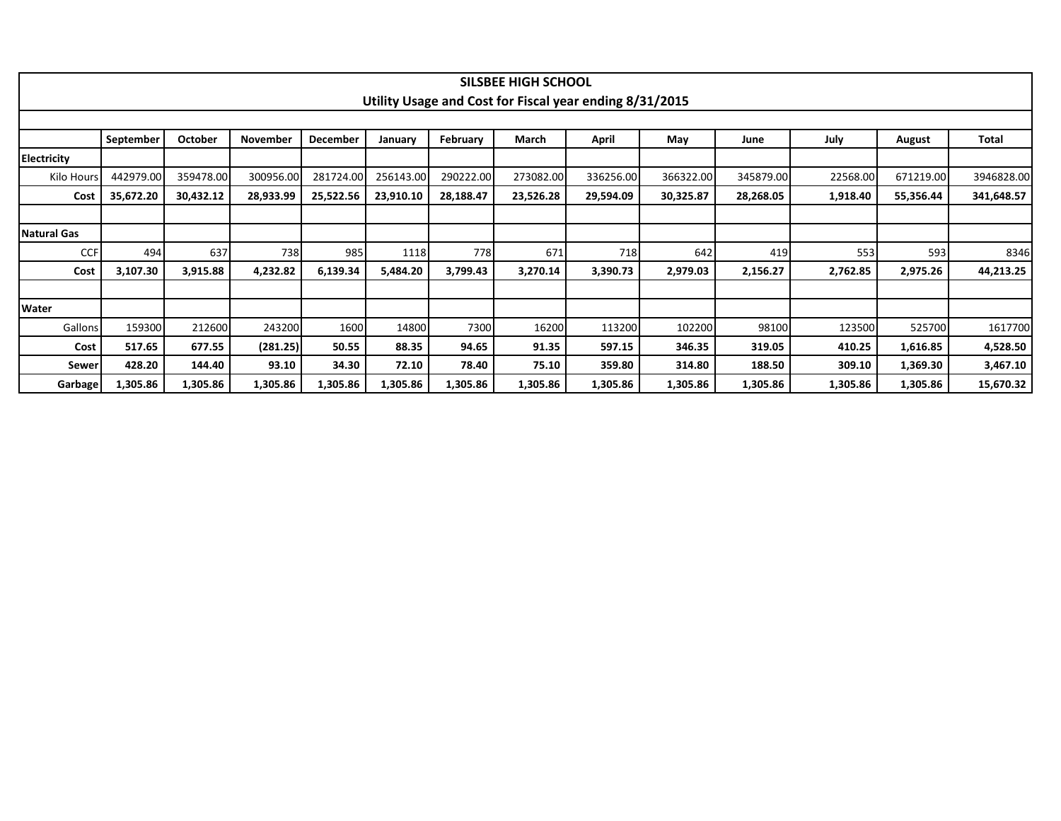|                    |           |                |           |                 |           |           | SILSBEE HIGH SCHOOL |                                                         |           |           |          |           |            |
|--------------------|-----------|----------------|-----------|-----------------|-----------|-----------|---------------------|---------------------------------------------------------|-----------|-----------|----------|-----------|------------|
|                    |           |                |           |                 |           |           |                     | Utility Usage and Cost for Fiscal year ending 8/31/2015 |           |           |          |           |            |
|                    | September | <b>October</b> | November  | <b>December</b> | January   | February  | March               | April                                                   | May       | June      | July     | August    | Total      |
| Electricity        |           |                |           |                 |           |           |                     |                                                         |           |           |          |           |            |
| Kilo Hours         | 442979.00 | 359478.00      | 300956.00 | 281724.00       | 256143.00 | 290222.00 | 273082.00           | 336256.00                                               | 366322.00 | 345879.00 | 22568.00 | 671219.00 | 3946828.00 |
| Cost               | 35,672.20 | 30,432.12      | 28,933.99 | 25,522.56       | 23,910.10 | 28,188.47 | 23,526.28           | 29,594.09                                               | 30,325.87 | 28,268.05 | 1,918.40 | 55,356.44 | 341,648.57 |
|                    |           |                |           |                 |           |           |                     |                                                         |           |           |          |           |            |
| <b>Natural Gas</b> |           |                |           |                 |           |           |                     |                                                         |           |           |          |           |            |
| <b>CCF</b>         | 494       | 637            | 738       | 985             | 1118      | 778       | 671                 | 718                                                     | 642       | 419       | 553      | 593       | 8346       |
| Cost               | 3,107.30  | 3,915.88       | 4,232.82  | 6,139.34        | 5,484.20  | 3,799.43  | 3,270.14            | 3,390.73                                                | 2,979.03  | 2,156.27  | 2,762.85 | 2,975.26  | 44,213.25  |
|                    |           |                |           |                 |           |           |                     |                                                         |           |           |          |           |            |
| Water              |           |                |           |                 |           |           |                     |                                                         |           |           |          |           |            |
| <b>Gallons</b>     | 159300    | 212600         | 243200    | 1600            | 14800     | 7300      | 16200               | 113200                                                  | 102200    | 98100     | 123500   | 525700    | 1617700    |
| Cost               | 517.65    | 677.55         | (281.25)  | 50.55           | 88.35     | 94.65     | 91.35               | 597.15                                                  | 346.35    | 319.05    | 410.25   | 1,616.85  | 4,528.50   |
| Sewer              | 428.20    | 144.40         | 93.10     | 34.30           | 72.10     | 78.40     | 75.10               | 359.80                                                  | 314.80    | 188.50    | 309.10   | 1,369.30  | 3,467.10   |
| Garbage            | 1,305.86  | 1,305.86       | 1,305.86  | 1,305.86        | 1,305.86  | 1,305.86  | 1,305.86            | 1,305.86                                                | 1,305.86  | 1,305.86  | 1,305.86 | 1,305.86  | 15,670.32  |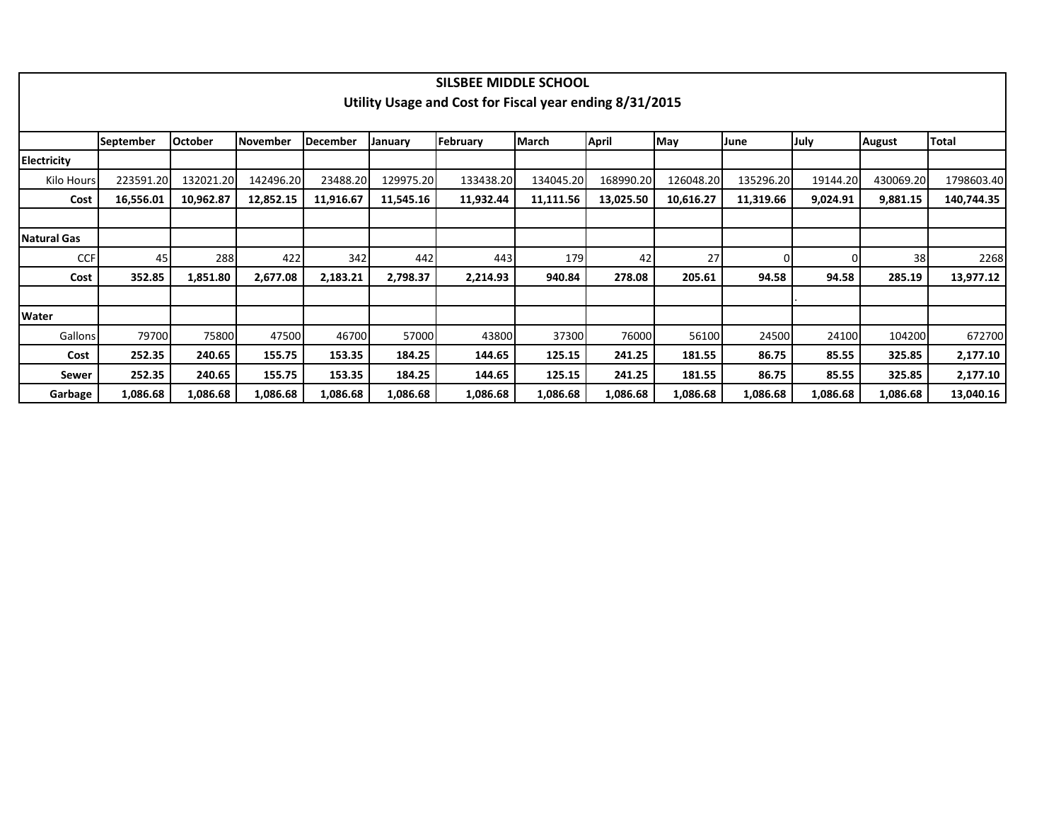|              |                  |                |           |                 |           | SILSBEE MIDDLE SCHOOL                                   |           |           |           |           |          |               |              |
|--------------|------------------|----------------|-----------|-----------------|-----------|---------------------------------------------------------|-----------|-----------|-----------|-----------|----------|---------------|--------------|
|              |                  |                |           |                 |           | Utility Usage and Cost for Fiscal year ending 8/31/2015 |           |           |           |           |          |               |              |
|              |                  |                |           |                 |           |                                                         |           |           |           |           |          |               |              |
|              | <b>September</b> | <b>October</b> | November  | <b>December</b> | January   | February                                                | March     | April     | May       | June      | July     | <b>August</b> | <b>Total</b> |
| Electricity  |                  |                |           |                 |           |                                                         |           |           |           |           |          |               |              |
| Kilo Hours   | 223591.20        | 132021.20      | 142496.20 | 23488.20        | 129975.20 | 133438.20                                               | 134045.20 | 168990.20 | 126048.20 | 135296.20 | 19144.20 | 430069.20     | 1798603.40   |
| Cost         | 16,556.01        | 10,962.87      | 12,852.15 | 11,916.67       | 11,545.16 | 11,932.44                                               | 11,111.56 | 13,025.50 | 10,616.27 | 11,319.66 | 9,024.91 | 9,881.15      | 140,744.35   |
|              |                  |                |           |                 |           |                                                         |           |           |           |           |          |               |              |
| Natural Gas  |                  |                |           |                 |           |                                                         |           |           |           |           |          |               |              |
| <b>CCF</b>   | 45               | 288            | 422       | 342             | 442       | 443                                                     | 179       | 42        | 27        | 01        |          | 38            | 2268         |
| Cost         | 352.85           | 1,851.80       | 2,677.08  | 2,183.21        | 2,798.37  | 2,214.93                                                | 940.84    | 278.08    | 205.61    | 94.58     | 94.58    | 285.19        | 13,977.12    |
|              |                  |                |           |                 |           |                                                         |           |           |           |           |          |               |              |
| <b>Water</b> |                  |                |           |                 |           |                                                         |           |           |           |           |          |               |              |
| Gallons      | 79700            | 75800          | 47500     | 46700           | 57000     | 43800                                                   | 37300     | 76000     | 56100     | 24500     | 24100    | 104200        | 672700       |
| Cost         | 252.35           | 240.65         | 155.75    | 153.35          | 184.25    | 144.65                                                  | 125.15    | 241.25    | 181.55    | 86.75     | 85.55    | 325.85        | 2,177.10     |
| Sewer        | 252.35           | 240.65         | 155.75    | 153.35          | 184.25    | 144.65                                                  | 125.15    | 241.25    | 181.55    | 86.75     | 85.55    | 325.85        | 2,177.10     |
| Garbage      | 1,086.68         | 1,086.68       | 1,086.68  | 1,086.68        | 1,086.68  | 1,086.68                                                | 1,086.68  | 1,086.68  | 1,086.68  | 1,086.68  | 1,086.68 | 1,086.68      | 13,040.16    |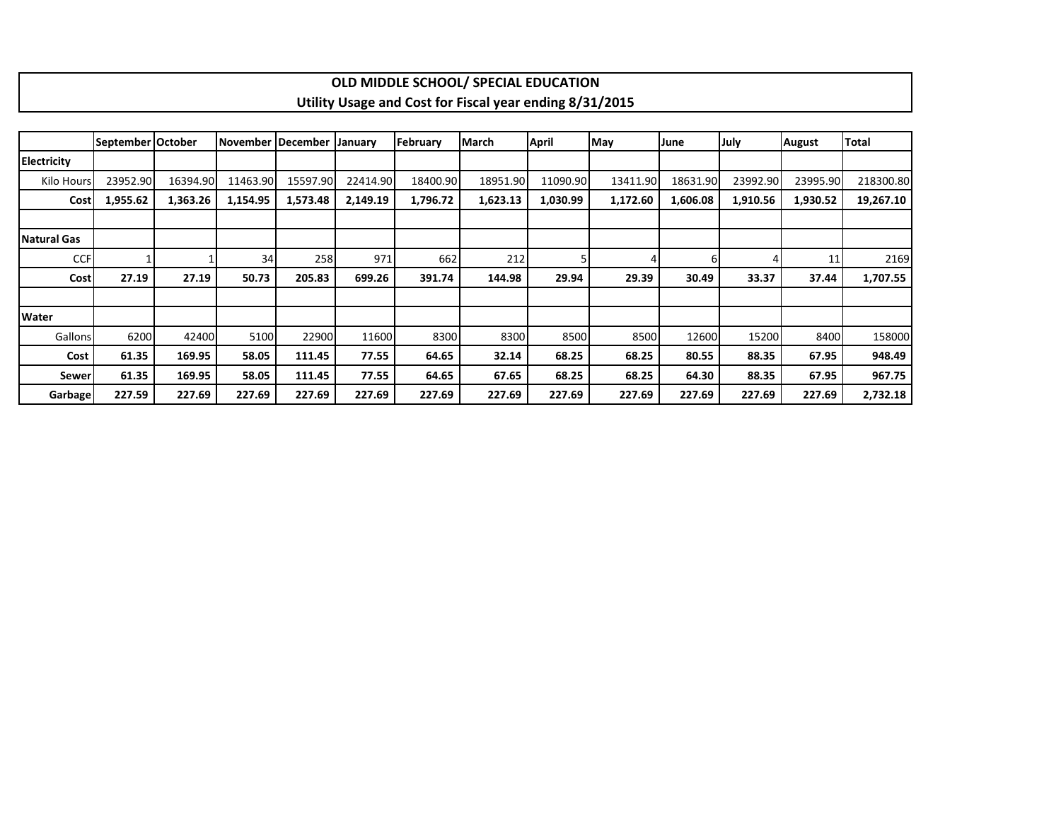|              |                   |          |          |                     |          |          | OLD MIDDLE SCHOOL/ SPECIAL EDUCATION                    |              |          |          |          |               |              |
|--------------|-------------------|----------|----------|---------------------|----------|----------|---------------------------------------------------------|--------------|----------|----------|----------|---------------|--------------|
|              |                   |          |          |                     |          |          | Utility Usage and Cost for Fiscal year ending 8/31/2015 |              |          |          |          |               |              |
|              |                   |          |          |                     |          |          |                                                         |              |          |          |          |               |              |
|              | September October |          |          | November   December | January  | February | March                                                   | <b>April</b> | May      | June     | July     | <b>August</b> | <b>Total</b> |
| Electricity  |                   |          |          |                     |          |          |                                                         |              |          |          |          |               |              |
| Kilo Hours   | 23952.90          | 16394.90 | 11463.90 | 15597.90            | 22414.90 | 18400.90 | 18951.90                                                | 11090.90     | 13411.90 | 18631.90 | 23992.90 | 23995.90      | 218300.80    |
| Cost         | 1,955.62          | 1,363.26 | 1,154.95 | 1,573.48            | 2,149.19 | 1,796.72 | 1,623.13                                                | 1,030.99     | 1,172.60 | 1,606.08 | 1,910.56 | 1,930.52      | 19,267.10    |
|              |                   |          |          |                     |          |          |                                                         |              |          |          |          |               |              |
| Natural Gas  |                   |          |          |                     |          |          |                                                         |              |          |          |          |               |              |
| <b>CCF</b>   |                   |          | 34       | 258                 | 971      | 662      | 212                                                     |              |          | 6        |          | 11            | 2169         |
| Cost         | 27.19             | 27.19    | 50.73    | 205.83              | 699.26   | 391.74   | 144.98                                                  | 29.94        | 29.39    | 30.49    | 33.37    | 37.44         | 1,707.55     |
|              |                   |          |          |                     |          |          |                                                         |              |          |          |          |               |              |
| <b>Water</b> |                   |          |          |                     |          |          |                                                         |              |          |          |          |               |              |
| Gallons      | 6200              | 42400    | 5100     | 22900               | 11600    | 8300     | 8300                                                    | 8500         | 8500     | 12600    | 15200    | 8400          | 158000       |
| Cost         | 61.35             | 169.95   | 58.05    | 111.45              | 77.55    | 64.65    | 32.14                                                   | 68.25        | 68.25    | 80.55    | 88.35    | 67.95         | 948.49       |
| Sewer        | 61.35             | 169.95   | 58.05    | 111.45              | 77.55    | 64.65    | 67.65                                                   | 68.25        | 68.25    | 64.30    | 88.35    | 67.95         | 967.75       |
| Garbage      | 227.59            | 227.69   | 227.69   | 227.69              | 227.69   | 227.69   | 227.69                                                  | 227.69       | 227.69   | 227.69   | 227.69   | 227.69        | 2,732.18     |

 $\Gamma$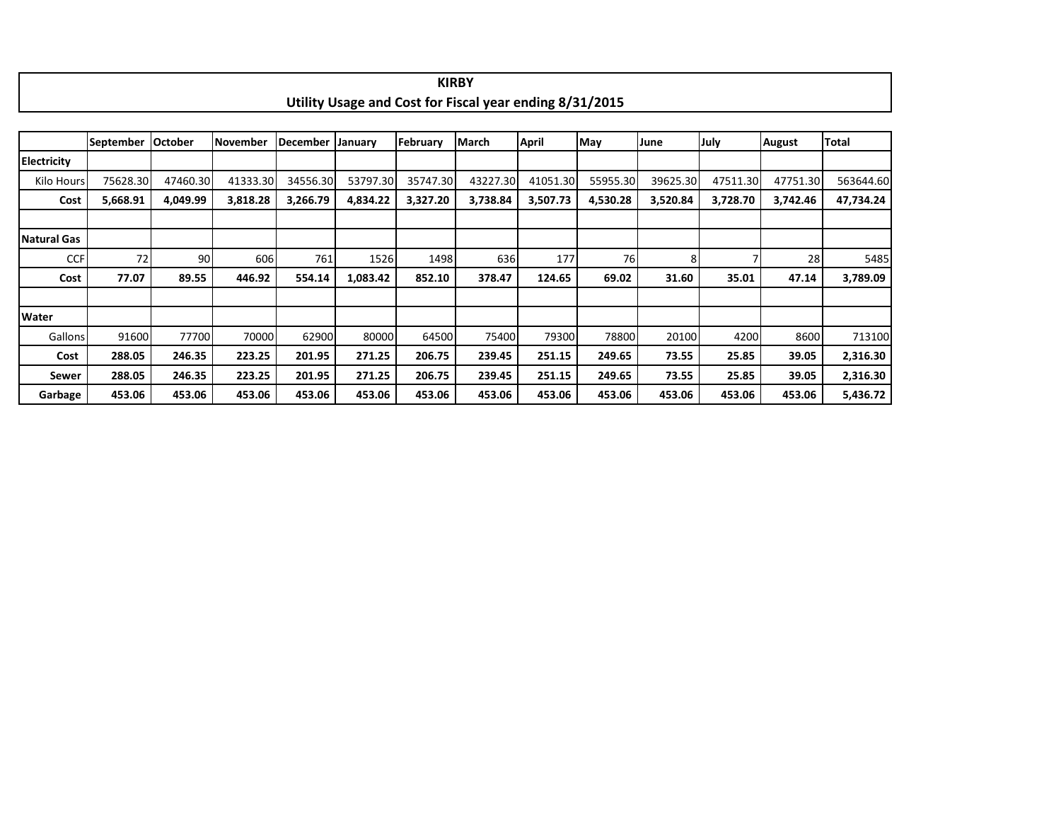|                    |                  |                |          |                 |          |          | <b>KIRBY</b>                                            |          |          |          |          |               |           |
|--------------------|------------------|----------------|----------|-----------------|----------|----------|---------------------------------------------------------|----------|----------|----------|----------|---------------|-----------|
|                    |                  |                |          |                 |          |          | Utility Usage and Cost for Fiscal year ending 8/31/2015 |          |          |          |          |               |           |
|                    |                  |                |          |                 |          |          |                                                         |          |          |          |          |               |           |
|                    | <b>September</b> | <b>October</b> | November | <b>December</b> | January  | February | March                                                   | April    | May      | June     | July     | <b>August</b> | Total     |
| <b>Electricity</b> |                  |                |          |                 |          |          |                                                         |          |          |          |          |               |           |
| Kilo Hours         | 75628.30         | 47460.30       | 41333.30 | 34556.30        | 53797.30 | 35747.30 | 43227.30                                                | 41051.30 | 55955.30 | 39625.30 | 47511.30 | 47751.30      | 563644.60 |
| Cost               | 5,668.91         | 4,049.99       | 3,818.28 | 3,266.79        | 4,834.22 | 3,327.20 | 3,738.84                                                | 3,507.73 | 4,530.28 | 3,520.84 | 3,728.70 | 3,742.46      | 47,734.24 |
|                    |                  |                |          |                 |          |          |                                                         |          |          |          |          |               |           |
| <b>Natural Gas</b> |                  |                |          |                 |          |          |                                                         |          |          |          |          |               |           |
| <b>CCF</b>         | 72               | 90I            | 606      | 761             | 1526     | 1498     | 636                                                     | 177      | 76       |          |          | 28            | 5485      |
| Cost               | 77.07            | 89.55          | 446.92   | 554.14          | 1,083.42 | 852.10   | 378.47                                                  | 124.65   | 69.02    | 31.60    | 35.01    | 47.14         | 3,789.09  |
|                    |                  |                |          |                 |          |          |                                                         |          |          |          |          |               |           |
| Water              |                  |                |          |                 |          |          |                                                         |          |          |          |          |               |           |
| Gallons            | 91600            | 77700          | 70000    | 62900           | 80000    | 64500    | 75400                                                   | 79300    | 78800    | 20100    | 4200     | 8600          | 713100    |
| Cost               | 288.05           | 246.35         | 223.25   | 201.95          | 271.25   | 206.75   | 239.45                                                  | 251.15   | 249.65   | 73.55    | 25.85    | 39.05         | 2,316.30  |
| Sewer              | 288.05           | 246.35         | 223.25   | 201.95          | 271.25   | 206.75   | 239.45                                                  | 251.15   | 249.65   | 73.55    | 25.85    | 39.05         | 2,316.30  |
| Garbage            | 453.06           | 453.06         | 453.06   | 453.06          | 453.06   | 453.06   | 453.06                                                  | 453.06   | 453.06   | 453.06   | 453.06   | 453.06        | 5,436.72  |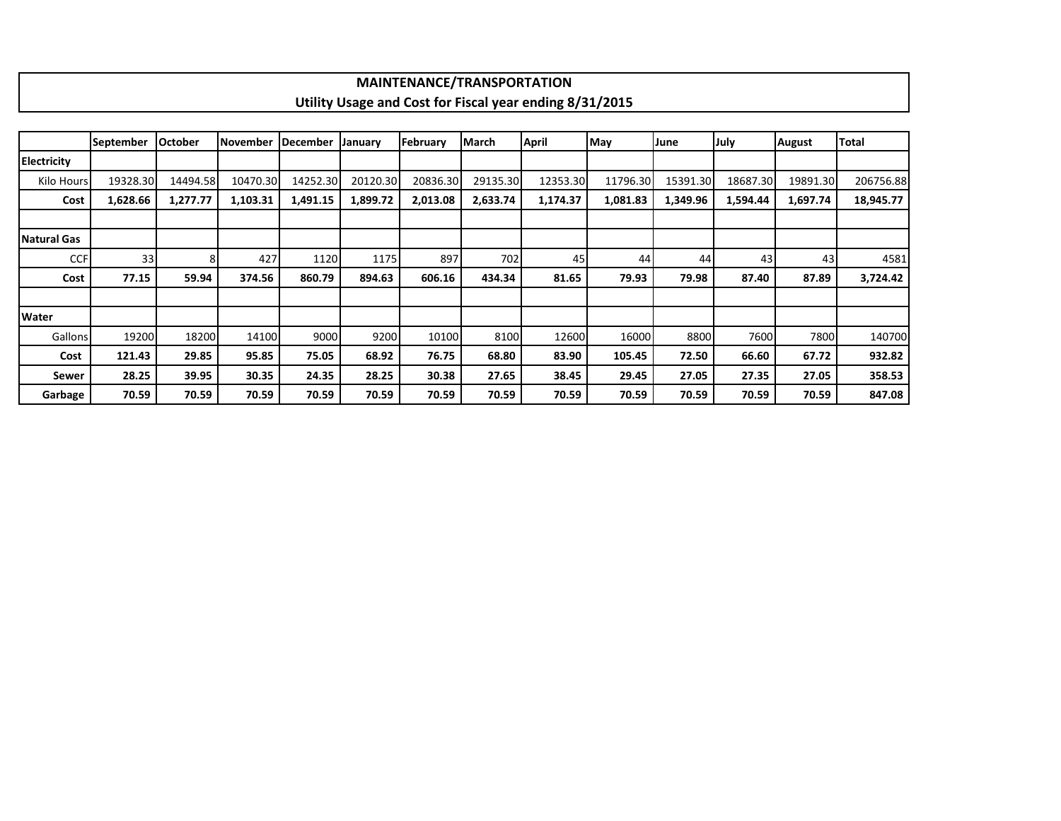|                    |                  |                |                 |                  |          | <b>MAINTENANCE/TRANSPORTATION</b> |          |                                                         |          |          |          |               |           |
|--------------------|------------------|----------------|-----------------|------------------|----------|-----------------------------------|----------|---------------------------------------------------------|----------|----------|----------|---------------|-----------|
|                    |                  |                |                 |                  |          |                                   |          | Utility Usage and Cost for Fiscal year ending 8/31/2015 |          |          |          |               |           |
|                    |                  |                |                 |                  |          |                                   |          |                                                         |          |          |          |               |           |
|                    | <b>September</b> | <b>October</b> | <b>November</b> | <b>IDecember</b> | January  | February                          | March    | <b>April</b>                                            | May      | June     | July     | <b>August</b> | Total     |
| <b>Electricity</b> |                  |                |                 |                  |          |                                   |          |                                                         |          |          |          |               |           |
| Kilo Hours         | 19328.30         | 14494.58       | 10470.30        | 14252.30         | 20120.30 | 20836.30                          | 29135.30 | 12353.30                                                | 11796.30 | 15391.30 | 18687.30 | 19891.30      | 206756.88 |
| Cost               | 1,628.66         | 1,277.77       | 1,103.31        | 1,491.15         | 1,899.72 | 2,013.08                          | 2,633.74 | 1,174.37                                                | 1,081.83 | 1,349.96 | 1,594.44 | 1,697.74      | 18,945.77 |
|                    |                  |                |                 |                  |          |                                   |          |                                                         |          |          |          |               |           |
| Natural Gas        |                  |                |                 |                  |          |                                   |          |                                                         |          |          |          |               |           |
| <b>CCF</b>         | 33               | 81             | 427             | 1120             | 1175     | 897                               | 702      | 45                                                      | 44       | 44       | 43       | 43            | 4581      |
| Cost               | 77.15            | 59.94          | 374.56          | 860.79           | 894.63   | 606.16                            | 434.34   | 81.65                                                   | 79.93    | 79.98    | 87.40    | 87.89         | 3,724.42  |
|                    |                  |                |                 |                  |          |                                   |          |                                                         |          |          |          |               |           |
| <b>Water</b>       |                  |                |                 |                  |          |                                   |          |                                                         |          |          |          |               |           |
| Gallons            | 19200            | 18200          | 14100           | 9000             | 9200     | 10100                             | 8100     | 12600                                                   | 16000    | 8800     | 7600     | 7800          | 140700    |
| Cost               | 121.43           | 29.85          | 95.85           | 75.05            | 68.92    | 76.75                             | 68.80    | 83.90                                                   | 105.45   | 72.50    | 66.60    | 67.72         | 932.82    |
| Sewer              | 28.25            | 39.95          | 30.35           | 24.35            | 28.25    | 30.38                             | 27.65    | 38.45                                                   | 29.45    | 27.05    | 27.35    | 27.05         | 358.53    |
| Garbage            | 70.59            | 70.59          | 70.59           | 70.59            | 70.59    | 70.59                             | 70.59    | 70.59                                                   | 70.59    | 70.59    | 70.59    | 70.59         | 847.08    |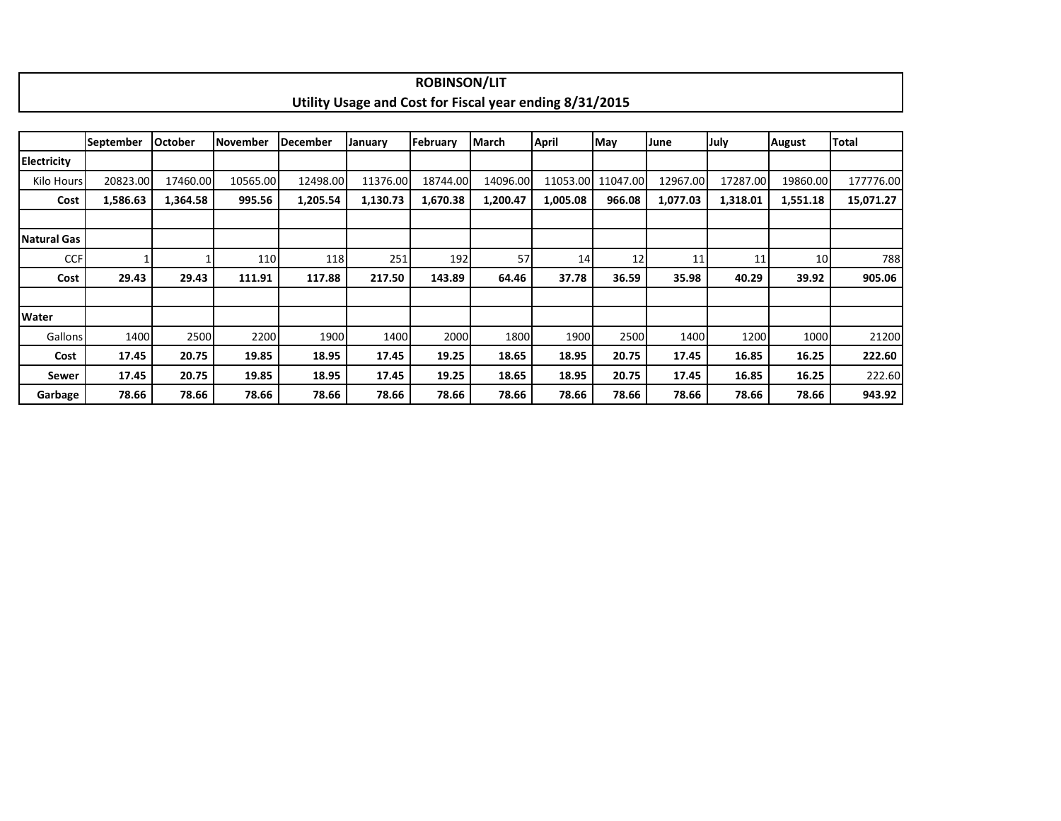|                    |                  |                |                 |          |                                                         | <b>ROBINSON/LIT</b> |              |          |          |          |          |          |           |
|--------------------|------------------|----------------|-----------------|----------|---------------------------------------------------------|---------------------|--------------|----------|----------|----------|----------|----------|-----------|
|                    |                  |                |                 |          | Utility Usage and Cost for Fiscal year ending 8/31/2015 |                     |              |          |          |          |          |          |           |
|                    |                  |                |                 |          |                                                         |                     |              |          |          |          |          |          |           |
|                    | <b>September</b> | <b>October</b> | <b>November</b> | December | January                                                 | February            | <b>March</b> | April    | May      | June     | July     | August   | Total     |
| <b>Electricity</b> |                  |                |                 |          |                                                         |                     |              |          |          |          |          |          |           |
| Kilo Hours         | 20823.00         | 17460.00       | 10565.00        | 12498.00 | 11376.00                                                | 18744.00            | 14096.00     | 11053.00 | 11047.00 | 12967.00 | 17287.00 | 19860.00 | 177776.00 |
| Cost               | 1,586.63         | 1,364.58       | 995.56          | 1,205.54 | 1,130.73                                                | 1,670.38            | 1,200.47     | 1,005.08 | 966.08   | 1,077.03 | 1,318.01 | 1,551.18 | 15,071.27 |
|                    |                  |                |                 |          |                                                         |                     |              |          |          |          |          |          |           |
| Natural Gas        |                  |                |                 |          |                                                         |                     |              |          |          |          |          |          |           |
| <b>CCF</b>         |                  |                | 110             | 118      | 251                                                     | 192                 | 57           | 14       | 12       | 11       | 11       | 10       | 788       |
| Cost               | 29.43            | 29.43          | 111.91          | 117.88   | 217.50                                                  | 143.89              | 64.46        | 37.78    | 36.59    | 35.98    | 40.29    | 39.92    | 905.06    |
|                    |                  |                |                 |          |                                                         |                     |              |          |          |          |          |          |           |
| <b>Water</b>       |                  |                |                 |          |                                                         |                     |              |          |          |          |          |          |           |
| Gallons            | 1400             | 2500           | 2200            | 1900     | 1400                                                    | 2000                | 1800         | 1900     | 2500     | 1400     | 1200     | 1000     | 21200     |
| Cost               | 17.45            | 20.75          | 19.85           | 18.95    | 17.45                                                   | 19.25               | 18.65        | 18.95    | 20.75    | 17.45    | 16.85    | 16.25    | 222.60    |
| Sewer              | 17.45            | 20.75          | 19.85           | 18.95    | 17.45                                                   | 19.25               | 18.65        | 18.95    | 20.75    | 17.45    | 16.85    | 16.25    | 222.60    |
| Garbage            | 78.66            | 78.66          | 78.66           | 78.66    | 78.66                                                   | 78.66               | 78.66        | 78.66    | 78.66    | 78.66    | 78.66    | 78.66    | 943.92    |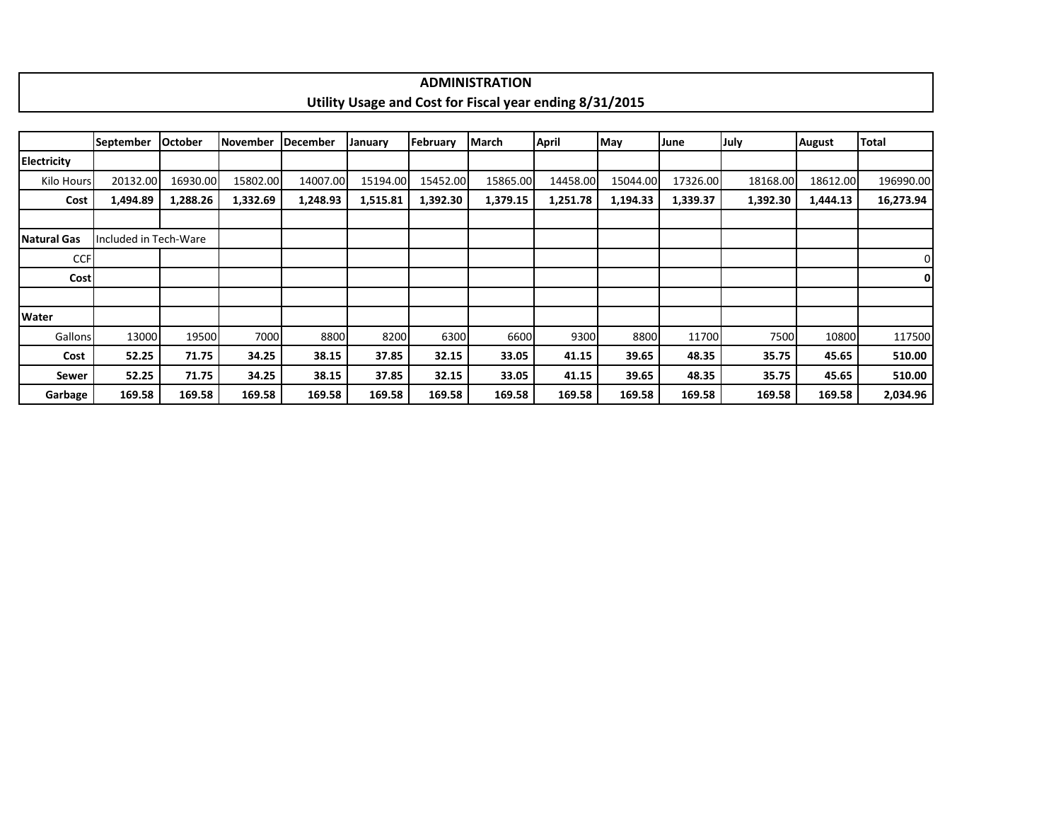|             |             |                |          |                  |          |                  | <b>ADMINISTRATION</b>                                   |              |          |          |          |               |           |
|-------------|-------------|----------------|----------|------------------|----------|------------------|---------------------------------------------------------|--------------|----------|----------|----------|---------------|-----------|
|             |             |                |          |                  |          |                  | Utility Usage and Cost for Fiscal year ending 8/31/2015 |              |          |          |          |               |           |
|             |             |                |          |                  |          |                  |                                                         |              |          |          |          |               |           |
|             | l September | <b>October</b> | November | <b>IDecember</b> | January  | <b>IFebruary</b> | <b>IMarch</b>                                           | <b>April</b> | May      | June     | July     | <b>August</b> | Total     |
| Electricity |             |                |          |                  |          |                  |                                                         |              |          |          |          |               |           |
| Kilo Hours  | 20132.00    | 16930.00       | 15802.00 | 14007.00         | 15194.00 | 15452.00         | 15865.00                                                | 14458.00     | 15044.00 | 17326.00 | 18168.00 | 18612.00      | 196990.00 |
| Cost        | 1,494.89    | 1,288.26       | 1,332.69 | 1,248.93         | 1,515.81 | 1.392.30         | 1,379.15                                                | 1,251.78     | 1,194.33 | 1,339.37 | 1,392.30 | 1.444.13      | 16,273.94 |

| Natural Gas | Included in Tech-Ware |        |        |        |        |        |        |        |        |        |        |        |          |
|-------------|-----------------------|--------|--------|--------|--------|--------|--------|--------|--------|--------|--------|--------|----------|
| <b>CCF</b>  |                       |        |        |        |        |        |        |        |        |        |        |        | 0        |
| <b>Cost</b> |                       |        |        |        |        |        |        |        |        |        |        |        | 0 I      |
|             |                       |        |        |        |        |        |        |        |        |        |        |        |          |
| Water       |                       |        |        |        |        |        |        |        |        |        |        |        |          |
| Gallons     | 13000                 | 19500  | 7000   | 8800   | 8200   | 6300   | 6600   | 9300   | 8800   | 11700  | 7500   | 10800  | 117500   |
| Cost        | 52.25                 | 71.75  | 34.25  | 38.15  | 37.85  | 32.15  | 33.05  | 41.15  | 39.65  | 48.35  | 35.75  | 45.65  | 510.00   |
| Sewer       | 52.25                 | 71.75  | 34.25  | 38.15  | 37.85  | 32.15  | 33.05  | 41.15  | 39.65  | 48.35  | 35.75  | 45.65  | 510.00   |
| Garbage     | 169.58                | 169.58 | 169.58 | 169.58 | 169.58 | 169.58 | 169.58 | 169.58 | 169.58 | 169.58 | 169.58 | 169.58 | 2,034.96 |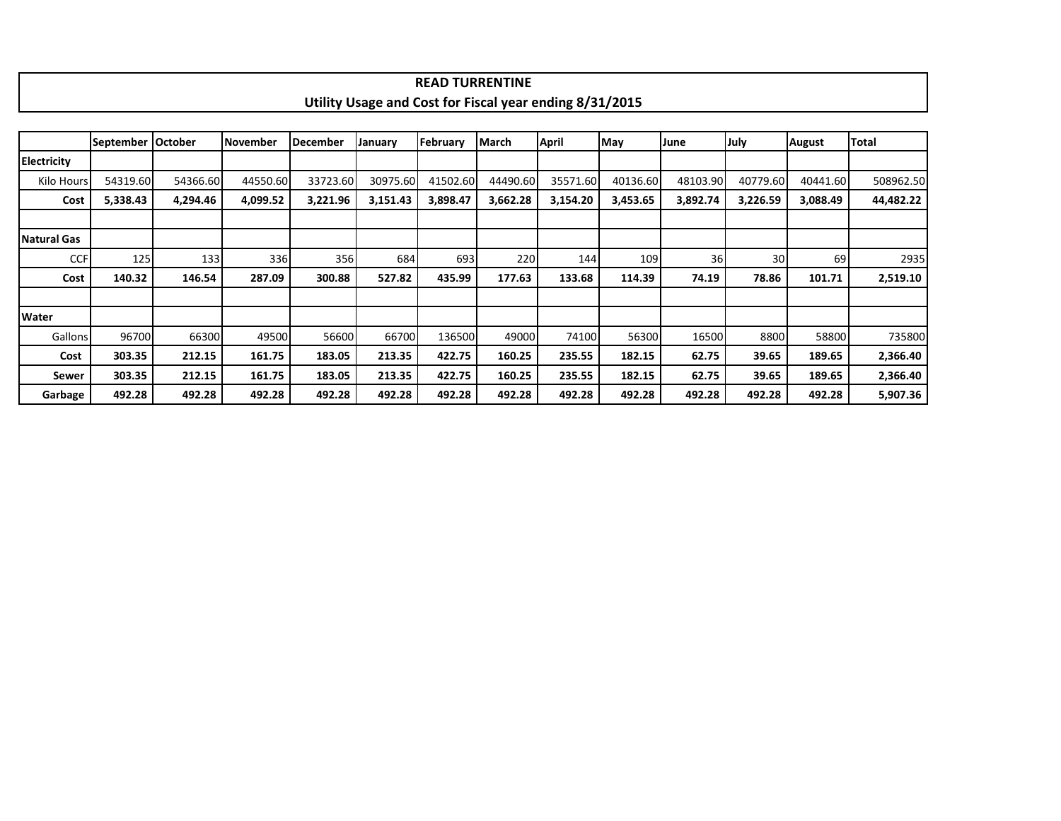|                    |                  |                |          |                 |                                                         | <b>READ TURRENTINE</b> |              |          |          |          |          |          |              |
|--------------------|------------------|----------------|----------|-----------------|---------------------------------------------------------|------------------------|--------------|----------|----------|----------|----------|----------|--------------|
|                    |                  |                |          |                 | Utility Usage and Cost for Fiscal year ending 8/31/2015 |                        |              |          |          |          |          |          |              |
|                    |                  |                |          |                 |                                                         |                        |              |          |          |          |          |          |              |
|                    | <b>September</b> | <b>October</b> | November | <b>December</b> | January                                                 | February               | <b>March</b> | April    | May      | June     | July     | August   | <b>Total</b> |
| <b>Electricity</b> |                  |                |          |                 |                                                         |                        |              |          |          |          |          |          |              |
| Kilo Hours         | 54319.60         | 54366.60       | 44550.60 | 33723.60        | 30975.60                                                | 41502.60               | 44490.60     | 35571.60 | 40136.60 | 48103.90 | 40779.60 | 40441.60 | 508962.50    |
| Cost               | 5,338.43         | 4,294.46       | 4,099.52 | 3,221.96        | 3,151.43                                                | 3,898.47               | 3,662.28     | 3,154.20 | 3,453.65 | 3,892.74 | 3,226.59 | 3,088.49 | 44,482.22    |
|                    |                  |                |          |                 |                                                         |                        |              |          |          |          |          |          |              |
| <b>Natural Gas</b> |                  |                |          |                 |                                                         |                        |              |          |          |          |          |          |              |
| <b>CCF</b>         | 125              | 133            | 336      | 356             | 684                                                     | 693                    | 220          | 144      | 109      | 36       | 30       | 69       | 2935         |
| Cost               | 140.32           | 146.54         | 287.09   | 300.88          | 527.82                                                  | 435.99                 | 177.63       | 133.68   | 114.39   | 74.19    | 78.86    | 101.71   | 2,519.10     |
|                    |                  |                |          |                 |                                                         |                        |              |          |          |          |          |          |              |
| Water              |                  |                |          |                 |                                                         |                        |              |          |          |          |          |          |              |
| Gallons            | 96700            | 66300          | 49500    | 56600           | 66700                                                   | 136500                 | 49000        | 74100    | 56300    | 16500    | 8800     | 58800    | 735800       |
| Cost               | 303.35           | 212.15         | 161.75   | 183.05          | 213.35                                                  | 422.75                 | 160.25       | 235.55   | 182.15   | 62.75    | 39.65    | 189.65   | 2,366.40     |
| Sewer              | 303.35           | 212.15         | 161.75   | 183.05          | 213.35                                                  | 422.75                 | 160.25       | 235.55   | 182.15   | 62.75    | 39.65    | 189.65   | 2,366.40     |
| Garbage            | 492.28           | 492.28         | 492.28   | 492.28          | 492.28                                                  | 492.28                 | 492.28       | 492.28   | 492.28   | 492.28   | 492.28   | 492.28   | 5,907.36     |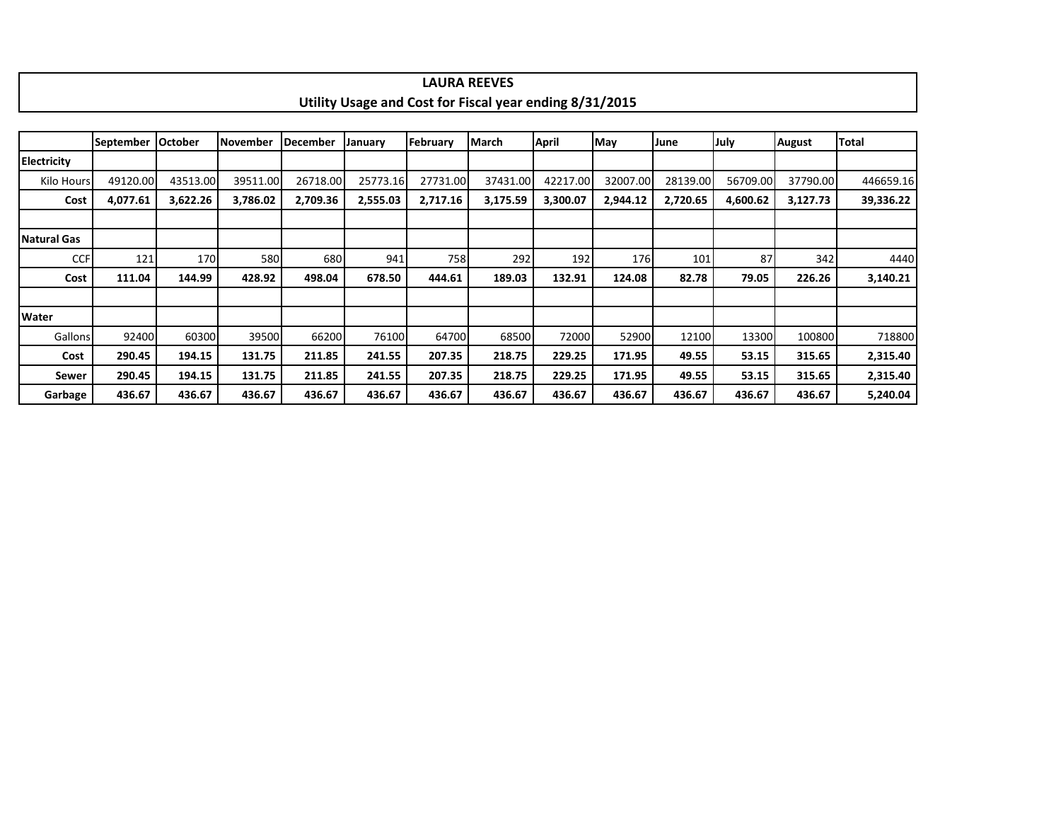|                    |                  |          |                 |                 |          |          | <b>LAURA REEVES</b>                                     |          |          |          |          |          |           |
|--------------------|------------------|----------|-----------------|-----------------|----------|----------|---------------------------------------------------------|----------|----------|----------|----------|----------|-----------|
|                    |                  |          |                 |                 |          |          | Utility Usage and Cost for Fiscal year ending 8/31/2015 |          |          |          |          |          |           |
|                    |                  |          |                 |                 |          |          |                                                         |          |          |          |          |          |           |
|                    | <b>September</b> | October  | <b>November</b> | <b>December</b> | January  | February | March                                                   | April    | May      | June     | July     | August   | Total     |
| <b>Electricity</b> |                  |          |                 |                 |          |          |                                                         |          |          |          |          |          |           |
| Kilo Hours         | 49120.00         | 43513.00 | 39511.00        | 26718.00        | 25773.16 | 27731.00 | 37431.00                                                | 42217.00 | 32007.00 | 28139.00 | 56709.00 | 37790.00 | 446659.16 |
| Cost               | 4,077.61         | 3,622.26 | 3,786.02        | 2,709.36        | 2,555.03 | 2,717.16 | 3,175.59                                                | 3,300.07 | 2,944.12 | 2,720.65 | 4,600.62 | 3,127.73 | 39,336.22 |
|                    |                  |          |                 |                 |          |          |                                                         |          |          |          |          |          |           |
| Natural Gas        |                  |          |                 |                 |          |          |                                                         |          |          |          |          |          |           |
| <b>CCF</b>         | 121              | 170      | 580             | 680             | 941      | 758      | 292                                                     | 192      | 176      | 101      | 87       | 342      | 4440      |
| Cost               | 111.04           | 144.99   | 428.92          | 498.04          | 678.50   | 444.61   | 189.03                                                  | 132.91   | 124.08   | 82.78    | 79.05    | 226.26   | 3,140.21  |
|                    |                  |          |                 |                 |          |          |                                                         |          |          |          |          |          |           |
| <b>Water</b>       |                  |          |                 |                 |          |          |                                                         |          |          |          |          |          |           |
| Gallons            | 92400            | 60300    | 39500           | 66200           | 76100    | 64700    | 68500                                                   | 72000    | 52900    | 12100    | 13300    | 100800   | 718800    |
| Cost               | 290.45           | 194.15   | 131.75          | 211.85          | 241.55   | 207.35   | 218.75                                                  | 229.25   | 171.95   | 49.55    | 53.15    | 315.65   | 2,315.40  |
| Sewer              | 290.45           | 194.15   | 131.75          | 211.85          | 241.55   | 207.35   | 218.75                                                  | 229.25   | 171.95   | 49.55    | 53.15    | 315.65   | 2,315.40  |
| Garbage            | 436.67           | 436.67   | 436.67          | 436.67          | 436.67   | 436.67   | 436.67                                                  | 436.67   | 436.67   | 436.67   | 436.67   | 436.67   | 5,240.04  |